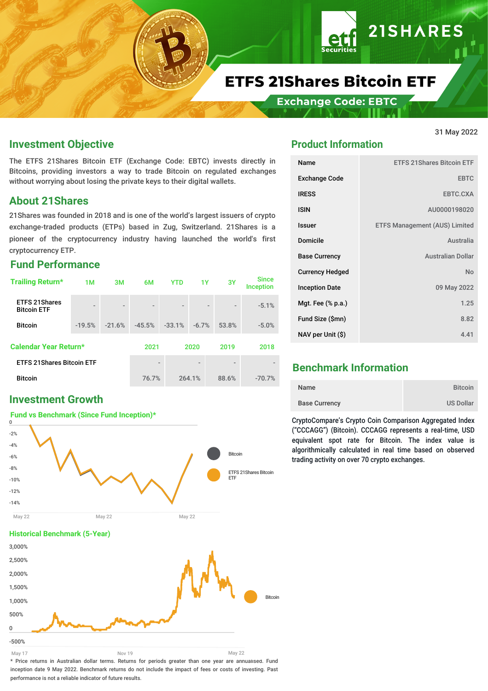

**Exchange Code: EBTC** 

#### **Investment Objective**

The ETFS 21Shares Bitcoin ETF (Exchange Code: EBTC) invests directly in Bitcoins, providing investors a way to trade Bitcoin on regulated exchanges without worrying about losing the private keys to their digital wallets.

#### **About 21Shares**

21Shares was founded in 2018 and is one of the world's largest issuers of crypto exchange-traded products (ETPs) based in Zug, Switzerland. 21Shares is a pioneer of the cryptocurrency industry having launched the world's first cryptocurrency ETP.

#### **Fund Performance**

| <b>Trailing Return*</b>                    | 1M                       | 3M                       | 6M                       | <b>YTD</b>               | 1Y                       | 3Y                       | <b>Since</b><br><b>Inception</b> |
|--------------------------------------------|--------------------------|--------------------------|--------------------------|--------------------------|--------------------------|--------------------------|----------------------------------|
| <b>ETFS 21Shares</b><br><b>Bitcoin ETF</b> | $\overline{\phantom{a}}$ | $\overline{\phantom{a}}$ | $\overline{\phantom{0}}$ | $\overline{\phantom{0}}$ | $\overline{\phantom{a}}$ | $\overline{\phantom{0}}$ | $-5.1%$                          |
| <b>Bitcoin</b>                             | $-19.5%$                 | $-21.6%$                 | $-45.5%$                 | $-33.1%$                 | $-6.7%$                  | 53.8%                    | $-5.0%$                          |
| <b>Calendar Year Return*</b>               |                          |                          | 2021                     |                          | 2020                     | 2019                     | 2018                             |
| <b>ETFS 21Shares Bitcoin ETF</b>           |                          |                          | $\overline{\phantom{a}}$ |                          |                          |                          |                                  |
| <b>Bitcoin</b>                             |                          |                          | 76.7%                    |                          | 264.1%                   | 88.6%                    | $-70.7%$                         |

### **Investment Growth**



#### -500% 0 500% 1,000% 1,500% 2,000% 2,500% 3,000% Bitcoin May 17 Nov 19 May 22

\* Price returns in Australian dollar terms. Returns for periods greater than one year are annualised. Fund inception date 9 May 2022. Benchmark returns do not include the impact of fees or costs of investing. Past performance is not a reliable indicator of future results.

# **Product Information**

| Name                   | <b>ETFS 21 Shares Bitcoin ETF</b>    |
|------------------------|--------------------------------------|
| <b>Exchange Code</b>   | <b>EBTC</b>                          |
| <b>IRESS</b>           | EBTC.CXA                             |
| <b>ISIN</b>            | AU0000198020                         |
| <b>Issuer</b>          | <b>ETFS Management (AUS) Limited</b> |
| <b>Domicile</b>        | Australia                            |
| <b>Base Currency</b>   | <b>Australian Dollar</b>             |
| <b>Currency Hedged</b> | No                                   |
| <b>Inception Date</b>  | 09 May 2022                          |
| Mgt. Fee (% p.a.)      | 1.25                                 |
| Fund Size (\$mn)       | 8.82                                 |
| NAV per Unit (\$)      | 4.41                                 |

## **Benchmark Information**

| Name                 | <b>Bitcoin</b>   |
|----------------------|------------------|
| <b>Base Currency</b> | <b>US Dollar</b> |

CryptoCompare's Crypto Coin Comparison Aggregated Index ("CCCAGG") (Bitcoin). CCCAGG represents a real-time, USD equivalent spot rate for Bitcoin. The index value is algorithmically calculated in real time based on observed trading activity on over 70 crypto exchanges.

#### 31 May 2022

**21SHARES**